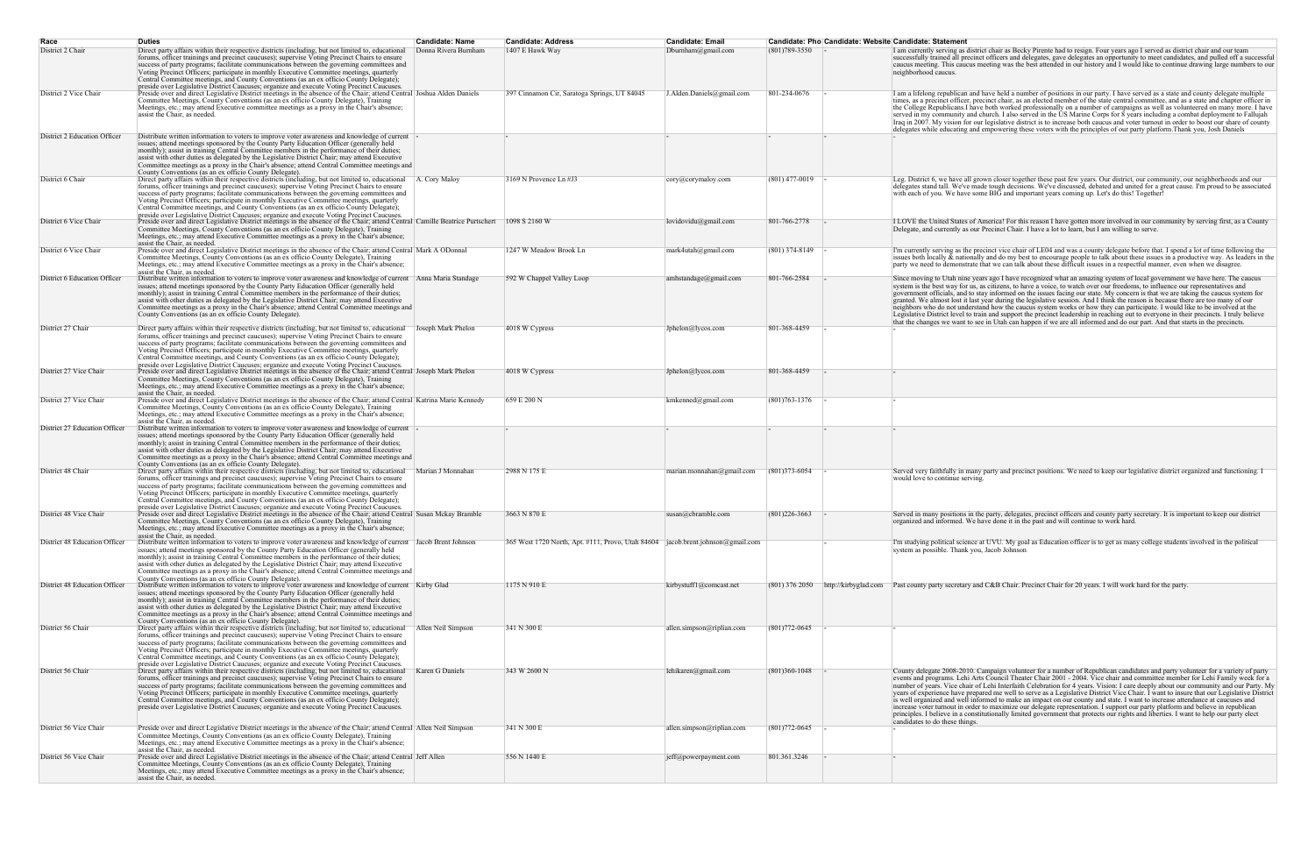| Race                          | <b>Duties</b>                                                                                                                                                                                                                                                                                                                                                                                                                                                                                                                                                                                                                                                                                     | <b>Candidate: Name</b> | <b>Candidate: Address</b>                                                       | <b>Candidate: Email</b>   |                   | Candidate: Pho Candidate: Website Candidate: Statement                                                                                                                                                                                                                                                                                                                                                                                                                                                                                                                                                                                                                                                                                                                                                                                                                                                                                                                                        |
|-------------------------------|---------------------------------------------------------------------------------------------------------------------------------------------------------------------------------------------------------------------------------------------------------------------------------------------------------------------------------------------------------------------------------------------------------------------------------------------------------------------------------------------------------------------------------------------------------------------------------------------------------------------------------------------------------------------------------------------------|------------------------|---------------------------------------------------------------------------------|---------------------------|-------------------|-----------------------------------------------------------------------------------------------------------------------------------------------------------------------------------------------------------------------------------------------------------------------------------------------------------------------------------------------------------------------------------------------------------------------------------------------------------------------------------------------------------------------------------------------------------------------------------------------------------------------------------------------------------------------------------------------------------------------------------------------------------------------------------------------------------------------------------------------------------------------------------------------------------------------------------------------------------------------------------------------|
| District 2 Chair              | Direct party affairs within their respective districts (including, but not limited to, educational<br>forums, officer trainings and precinct caucuses); supervise Voting Precinct Chairs to ensure<br>success of party programs; facilitate communications between the governing committees and<br>Voting Precinct Officers; participate in monthly Executive Committee meetings, quarterly<br>Central Committee meetings, and County Conventions (as an ex officio County Delegate);<br>preside over Legislative District Caucuses; organize and execute Voting Precinct Caucuses.                                                                                                               | Donna Rivera Burnham   | 1407 E Hawk Way                                                                 | Dburnham@gmail.com        | $(801)789-3550$ - | I am currently serving as district chair as Becky Pirente had to resign. Four years ago I served as district chair and our team<br>successfully trained all precinct officers and delegates, gave delegates an opportunity to meet candidates, and pulled off a successf<br>caucus meeting. This caucus meeting was the best attended in our history and I would like to continue drawing large numbers to o<br>neighborhood caucus.                                                                                                                                                                                                                                                                                                                                                                                                                                                                                                                                                          |
| District 2 Vice Chair         | Preside over and direct Legislative District meetings in the absence of the Chair; attend Central Joshua Alden Daniels<br>Committee Meetings, County Conventions (as an ex officio County Delegate), Training<br>Meetings, etc.; may attend Executive committee meetings as a proxy in the Chair's absence;<br>assist the Chair, as needed.                                                                                                                                                                                                                                                                                                                                                       |                        | 397 Cinnamon Cir, Saratoga Springs, UT 84045                                    | J.Alden.Daniels@gmail.com | 801-234-0676      | I am a lifelong republican and have held a number of positions in our party. I have served as a state and county delegate multiple<br>times, as a precinct officer, precinct chair, as an elected member of the state central committee, and as a state and chapter officer in<br>the College Republicans. I have both worked professionally on a number of campaigns as well as volunteered on many more. I have<br>served in my community and church. I also served in the US Marine Corps for 8 years including a combat deployment to Fallujah<br>Iraq in 2007. My vision for our legislative district is to increase both caucus and voter turnout in order to boost our share of county<br>delegates while educating and empowering these voters with the principles of our party platform. Thank you, Josh Daniels                                                                                                                                                                     |
| District 2 Education Officer  | Distribute written information to voters to improve voter awareness and knowledge of current -<br>issues; attend meetings sponsored by the County Party Education Officer (generally held<br>monthly); assist in training Central Committee members in the performance of their duties;<br>assist with other duties as delegated by the Legislative District Chair; may attend Executive<br>Committee meetings as a proxy in the Chair's absence; attend Central Committee meetings and<br>County Conventions (as an ex officio County Delegate)                                                                                                                                                  |                        |                                                                                 |                           |                   |                                                                                                                                                                                                                                                                                                                                                                                                                                                                                                                                                                                                                                                                                                                                                                                                                                                                                                                                                                                               |
| District 6 Chair              | Direct party affairs within their respective districts (including, but not limited to, educational A. Cory Maloy<br>forums, officer trainings and precinct caucuses); supervise Voting Precinct Chairs to ensure<br>success of party programs; facilitate communications between the governing committees and<br>Voting Precinct Officers; participate in monthly Executive Committee meetings, quarterly<br>Central Committee meetings, and County Conventions (as an ex officio County Delegate);<br>preside over Legislative District Caucuses; organize and execute Voting Precinct Caucuses.                                                                                                 |                        | 3169 N Provence Ln #J3                                                          | cory@corymaloy.com        | $(801)$ 477-0019  | Leg. District 6, we have all grown closer together these past few years. Our district, our community, our neighborhoods and our<br>delegates stand tall. We've made tough decisions. We've discussed, debated and united for a great cause. I'm proud to be associated<br>with each of you. We have some BIG and important years coming up. Let's do this! Together!                                                                                                                                                                                                                                                                                                                                                                                                                                                                                                                                                                                                                          |
| District 6 Vice Chair         | Preside over and direct Legislative District meetings in the absence of the Chair; attend Central Camille Beatrice Purtschert<br>Committee Meetings, County Conventions (as an ex officio County Delegate), Training<br>Meetings, etc.; may attend Executive Committee meetings as a proxy in the Chair's absence;<br>assist the Chair, as needed.                                                                                                                                                                                                                                                                                                                                                |                        | 1098 S 2160 W                                                                   | lovidovidu@gmail.com      | 801-766-2778      | I LOVE the United States of America! For this reason I have gotten more involved in our community by serving first, as a County<br>Delegate, and currently as our Precinct Chair. I have a lot to learn, but I am willing to serve.                                                                                                                                                                                                                                                                                                                                                                                                                                                                                                                                                                                                                                                                                                                                                           |
| District 6 Vice Chair         | Preside over and direct Legislative District meetings in the absence of the Chair; attend Central Mark A ODonnal<br>Committee Meetings, County Conventions (as an ex officio County Delegate), Training<br>Meetings, etc.; may attend Executive Committee meetings as a proxy in the Chair's absence;<br>assist the Chair, as needed.                                                                                                                                                                                                                                                                                                                                                             |                        | 1247 W Meadow Brook Ln                                                          | mark4utah@gmail.com       | $(801)$ 374-8149  | I'm currently serving as the precinct vice chair of LE04 and was a county delegate before that. I spend a lot of time following the<br>issues both locally & nationally and do my best to encourage people to talk about these issues in a productive way. As leaders in the<br>party we need to demonstrate that we can talk about these difficult issues in a respectful manner, even when we disagree.                                                                                                                                                                                                                                                                                                                                                                                                                                                                                                                                                                                     |
| District 6 Education Officer  | Distribute written information to voters to improve voter awareness and knowledge of current Anna Maria Standage<br>issues; attend meetings sponsored by the County Party Education Officer (generally held<br>monthly); assist in training Central Committee members in the performance of their duties;<br>assist with other duties as delegated by the Legislative District Chair; may attend Executive<br>Committee meetings as a proxy in the Chair's absence; attend Central Committee meetings and<br>County Conventions (as an ex officio County Delegate).                                                                                                                               |                        | 592 W Chappel Valley Loop                                                       | amhstandage@gmail.com     | 801-766-2584      | Since moving to Utah nine years ago I have recognized what an amazing system of local government we have here. The caucus<br>system is the best way for us, as citizens, to have a voice, to watch over our freedoms, to influence our representatives and<br>government officials, and to stay informed on the issues facing our state. My concern is that we are taking the caucus system for<br>granted. We almost lost it last year during the legislative session. And I think the reason is because there are too many of our<br>neighbors who do not understand how the caucus system works or how they can participate. I would like to be involved at the<br>Legislative District level to train and support the precinct leadership in reaching out to everyone in their precincts. I truly believe<br>that the changes we want to see in Utah can happen if we are all informed and do our part. And that starts in the precincts.                                                 |
| District 27 Chair             | Direct party affairs within their respective districts (including, but not limited to, educational Joseph Mark Phelon<br>forums, officer trainings and precinct caucuses); supervise Voting Precinct Chairs to ensure<br>success of party programs; facilitate communications between the governing committees and<br>Voting Precinct Officers; participate in monthly Executive Committee meetings, quarterly<br>Central Committee meetings, and County Conventions (as an ex officio County Delegate);<br>preside over Legislative District Caucuses; organize and execute Voting Precinct Caucuses.                                                                                            |                        | 4018 W Cypress                                                                  | Jphelon@lycos.com         | 801-368-4459      |                                                                                                                                                                                                                                                                                                                                                                                                                                                                                                                                                                                                                                                                                                                                                                                                                                                                                                                                                                                               |
| District 27 Vice Chair        | Preside over and direct Legislative District meetings in the absence of the Chair; attend Central Joseph Mark Phelon<br>Committee Meetings, County Conventions (as an ex officio County Delegate), Training<br>Meetings, etc.; may attend Executive Committee meetings as a proxy in the Chair's absence;<br>assist the Chair, as needed.                                                                                                                                                                                                                                                                                                                                                         |                        | 4018 W Cypress                                                                  | Jphelon@lycos.com         | 801-368-4459      |                                                                                                                                                                                                                                                                                                                                                                                                                                                                                                                                                                                                                                                                                                                                                                                                                                                                                                                                                                                               |
| District 27 Vice Chair        | Preside over and direct Legislative District meetings in the absence of the Chair; attend Central   Katrina Marie Kennedy<br>Committee Meetings, County Conventions (as an ex officio County Delegate), Training<br>Meetings, etc.; may attend Executive Committee meetings as a proxy in the Chair's absence;<br>assist the Chair, as needed.                                                                                                                                                                                                                                                                                                                                                    |                        | 659 E 200 N                                                                     | $km$ kenned@gmail.com     | $(801)763 - 1376$ |                                                                                                                                                                                                                                                                                                                                                                                                                                                                                                                                                                                                                                                                                                                                                                                                                                                                                                                                                                                               |
| District 27 Education Officer | Distribute written information to voters to improve voter awareness and knowledge of current<br>issues; attend meetings sponsored by the County Party Education Officer (generally held<br>monthly); assist in training Central Committee members in the performance of their duties;<br>assist with other duties as delegated by the Legislative District Chair; may attend Executive<br>Committee meetings as a proxy in the Chair's absence; attend Central Committee meetings and<br>County Conventions (as an ex officio County Delegate)                                                                                                                                                    |                        |                                                                                 |                           |                   |                                                                                                                                                                                                                                                                                                                                                                                                                                                                                                                                                                                                                                                                                                                                                                                                                                                                                                                                                                                               |
| District 48 Chair             | Direct party affairs within their respective districts (including, but not limited to, educational Marian J Monnahan<br>forums, officer trainings and precinct caucuses); supervise Voting Precinct Chairs to ensure<br>success of party programs; facilitate communications between the governing committees and<br>Voting Precinct Officers; participate in monthly Executive Committee meetings, quarterly<br>Central Committee meetings, and County Conventions (as an ex officio County Delegate);<br>preside over Legislative District Caucuses; organize and execute Voting Precinct Caucuses.                                                                                             |                        | 2988 N 175 E                                                                    | marian.monnahan@gmail.com | $(801)373 - 6054$ | Served very faithfully in many party and precinct positions. We need to keep our legislative district organized and functioning.<br>would love to continue serving.                                                                                                                                                                                                                                                                                                                                                                                                                                                                                                                                                                                                                                                                                                                                                                                                                           |
| District 48 Vice Chair        | Preside over and direct Legislative District meetings in the absence of the Chair; attend Central Susan Mckay Bramble<br>Committee Meetings, County Conventions (as an ex officio County Delegate), Training<br>Meetings, etc.; may attend Executive Committee meetings as a proxy in the Chair's absence;<br>assist the Chair, as needed.                                                                                                                                                                                                                                                                                                                                                        |                        | 3663 N 870 E                                                                    | susan@cbramble.com        | $(801)226-3663$ - | Served in many positions in the party, delegates, precinct officers and county party secretary. It is important to keep our district<br>organized and informed. We have done it in the past and will continue to work hard.                                                                                                                                                                                                                                                                                                                                                                                                                                                                                                                                                                                                                                                                                                                                                                   |
| District 48 Education Officer | Distribute written information to voters to improve voter awareness and knowledge of current Jacob Brent Johnson<br>issues; attend meetings sponsored by the County Party Education Officer (generally held<br>monthly); assist in training Central Committee members in the performance of their duties;<br>assist with other duties as delegated by the Legislative District Chair; may attend Executive<br>Committee meetings as a proxy in the Chair's absence; attend Central Committee meetings and<br>County Conventions (as an ex officio County Delegate).                                                                                                                               |                        | 365 West 1720 North, Apt. #111, Provo, Utah 84604 jacob.brent.johnson@gmail.com |                           |                   | I'm studying political science at UVU. My goal as Education officer is to get as many college students involved in the political<br>system as possible. Thank you, Jacob Johnson                                                                                                                                                                                                                                                                                                                                                                                                                                                                                                                                                                                                                                                                                                                                                                                                              |
| District 48 Education Officer | Distribute written information to voters to improve voter awareness and knowledge of current Kirby Glad<br>issues; attend meetings sponsored by the County Party Education Officer (generally held<br>monthly); assist in training Central Committee members in the performance of their duties;<br>assist with other duties as delegated by the Legislative District Chair; may attend Executive<br>Committee meetings as a proxy in the Chair's absence; attend Central Committee meetings and<br>County Conventions (as an ex officio County Delegate)                                                                                                                                         |                        | 1175 N 910 E                                                                    | kirbystuffl@comcast.net   |                   | (801) 376 2050 http://kirbyglad.com Past county party secretary and C&B Chair. Precinct Chair for 20 years. I will work hard for the party.                                                                                                                                                                                                                                                                                                                                                                                                                                                                                                                                                                                                                                                                                                                                                                                                                                                   |
| District 56 Chair             | Direct party affairs within their respective districts (including, but not limited to, educational<br>forums, officer trainings and precinct caucuses); supervise Voting Precinct Chairs to ensure<br>success of party programs; facilitate communications between the governing committees and<br>Voting Precinct Officers; participate in monthly Executive Committee meetings, quarterly<br>Central Committee meetings, and County Conventions (as an ex officio County Delegate);                                                                                                                                                                                                             | Allen Neil Simpson     | 341 N 300 E                                                                     | allen.simpson@riplian.com | $(801)772 - 0645$ |                                                                                                                                                                                                                                                                                                                                                                                                                                                                                                                                                                                                                                                                                                                                                                                                                                                                                                                                                                                               |
| District 56 Chair             | preside over Legislative District Caucuses; organize and execute Voting Precinct Caucuses.<br>Direct party affairs within their respective districts (including, but not limited to, educational Karen G Daniels<br>forums, officer trainings and precinct caucuses); supervise Voting Precinct Chairs to ensure<br>success of party programs; facilitate communications between the governing committees and<br>Voting Precinct Officers; participate in monthly Executive Committee meetings, quarterly<br>Central Committee meetings, and County Conventions (as an ex officio County Delegate);<br>preside over Legislative District Caucuses; organize and execute Voting Precinct Caucuses. |                        | 343 W 2600 N                                                                    | lehikaren@gmail.com       | $(801)360-1048$   | County delegate 2008-2010. Campaign volunteer for a number of Republican candidates and party volunteer for a variety of party<br>events and programs. Lehi Arts Council Theater Chair 2001 - 2004. Vice chair and committee member for Lehi Family week for a<br>number of years. Vice chair of Lehi Interfaith Celebration for 4 years. Vision: I care deeply about our community and our Party. N<br>years of experience have prepared me well to serve as a Legislative District Vice Chair. I want to insure that our Legislative District<br>is well organized and well informed to make an impact on our county and state. I want to increase attendance at caucuses and<br>increase voter turnout in order to maximize our delegate representation. I support our party platform and believe in republican<br>principles. I believe in a constitutionally limited government that protects our rights and liberties. I want to help our party elect<br>candidates to do these things. |
| District 56 Vice Chair        | Preside over and direct Legislative District meetings in the absence of the Chair; attend Central Allen Neil Simpson<br>Committee Meetings, County Conventions (as an ex officio County Delegate), Training<br>Meetings, etc.; may attend Executive Committee meetings as a proxy in the Chair's absence;<br>assist the Chair, as needed.                                                                                                                                                                                                                                                                                                                                                         |                        | 341 N 300 E                                                                     | allen.simpson@riplian.com | $(801)772 - 0645$ |                                                                                                                                                                                                                                                                                                                                                                                                                                                                                                                                                                                                                                                                                                                                                                                                                                                                                                                                                                                               |
| District 56 Vice Chair        | Preside over and direct Legislative District meetings in the absence of the Chair; attend Central Jeff Allen<br>Committee Meetings, County Conventions (as an ex officio County Delegate), Training<br>Meetings, etc.; may attend Executive Committee meetings as a proxy in the Chair's absence;<br>assist the Chair, as needed.                                                                                                                                                                                                                                                                                                                                                                 |                        | 556 N 1440 E                                                                    | jeff@powerpayment.com     | 801.361.3246      |                                                                                                                                                                                                                                                                                                                                                                                                                                                                                                                                                                                                                                                                                                                                                                                                                                                                                                                                                                                               |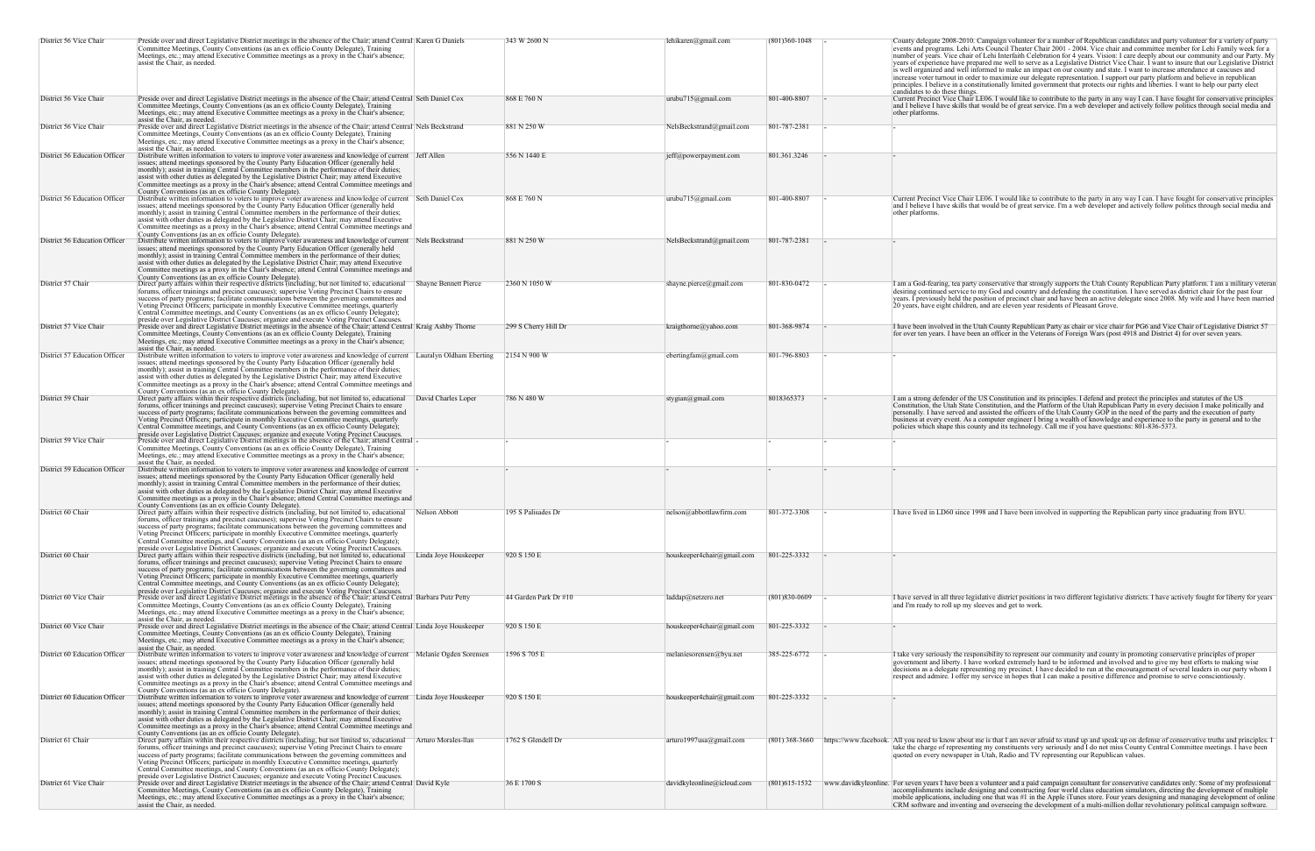| District 56 Vice Chair        | Preside over and direct Legislative District meetings in the absence of the Chair; attend Central Karen G Daniels<br>Committee Meetings, County Conventions (as an ex officio County Delegate), Training<br>Meetings, etc.; may attend Executive Committee meetings as a proxy in the Chair's absence;<br>assist the Chair, as needed.                                                                                                                                                                                                                                                                                                                               | 343 W 2600 N          | lehikaren@gmail.com         | $(801)360-1048$ | County delegate 2008-2010. Campaign volunteer for a number of Republican candidates and party volunteer for a variety of party<br>events and programs. Lehi Arts Council Theater Chair 2001 - 2004. Vice chair and committee member for Lehi Family week for a<br>number of years. Vice chair of Lehi Interfaith Celebration for 4 years. Vision: I care deeply about our community and our Party. My<br>years of experience have prepared me well to serve as a Legislative District Vice Chair. I want to insure that our Legislative District<br>is well organized and well informed to make an impact on our county and state. I want to increase attendance at caucuses and<br>increase voter turnout in order to maximize our delegate representation. I support our party platform and believe in republican |
|-------------------------------|----------------------------------------------------------------------------------------------------------------------------------------------------------------------------------------------------------------------------------------------------------------------------------------------------------------------------------------------------------------------------------------------------------------------------------------------------------------------------------------------------------------------------------------------------------------------------------------------------------------------------------------------------------------------|-----------------------|-----------------------------|-----------------|---------------------------------------------------------------------------------------------------------------------------------------------------------------------------------------------------------------------------------------------------------------------------------------------------------------------------------------------------------------------------------------------------------------------------------------------------------------------------------------------------------------------------------------------------------------------------------------------------------------------------------------------------------------------------------------------------------------------------------------------------------------------------------------------------------------------|
|                               |                                                                                                                                                                                                                                                                                                                                                                                                                                                                                                                                                                                                                                                                      |                       |                             |                 | principles. I believe in a constitutionally limited government that protects our rights and liberties. I want to help our party elect                                                                                                                                                                                                                                                                                                                                                                                                                                                                                                                                                                                                                                                                               |
| District 56 Vice Chair        | Preside over and direct Legislative District meetings in the absence of the Chair; attend Central Seth Daniel Cox<br>Committee Meetings, County Conventions (as an ex officio County Delegate), Training<br>Meetings, etc.; may attend Executive Committee meetings as a proxy in the Chair's absence;<br>assist the Chair, as needed.                                                                                                                                                                                                                                                                                                                               | 868 E 760 N           | urubu715@gmail.com          | 801-400-8807    | candidates to do these things.<br>Current Precinct Vice Chair LE06. I would like to contribute to the party in any way I can. I have fought for conservative principles<br>and I believe I have skills that would be of great service. I'm a web developer and actively follow politics through social media and<br>other platforms.                                                                                                                                                                                                                                                                                                                                                                                                                                                                                |
| District 56 Vice Chair        | Preside over and direct Legislative District meetings in the absence of the Chair; attend Central Nels Beckstrand<br>Committee Meetings, County Conventions (as an ex officio County Delegate), Training<br>Meetings, etc.; may attend Executive Committee meetings as a proxy in the Chair's absence;                                                                                                                                                                                                                                                                                                                                                               | 881 N 250 W           | NelsBeckstrand@gmail.com    | 801-787-2381    |                                                                                                                                                                                                                                                                                                                                                                                                                                                                                                                                                                                                                                                                                                                                                                                                                     |
| District 56 Education Officer | assist the Chair, as needed.<br>Distribute written information to voters to improve voter awareness and knowledge of current Jeff Allen<br>issues; attend meetings sponsored by the County Party Education Officer (generally held<br>monthly); assist in training Central Committee members in the performance of their duties;<br>assist with other duties as delegated by the Legislative District Chair; may attend Executive<br>Committee meetings as a proxy in the Chair's absence; attend Central Committee meetings and<br>County Conventions (as an ex officio County Delegate).                                                                           | 556 N 1440 E          | jeff@powerpayment.com       | 801.361.3246    |                                                                                                                                                                                                                                                                                                                                                                                                                                                                                                                                                                                                                                                                                                                                                                                                                     |
| District 56 Education Officer | Distribute written information to voters to improve voter awareness and knowledge of current Seth Daniel Cox<br>issues; attend meetings sponsored by the County Party Education Officer (generally held<br>monthly); assist in training Central Committee members in the performance of their duties;<br>assist with other duties as delegated by the Legislative District Chair; may attend Executive<br>Committee meetings as a proxy in the Chair's absence; attend Central Committee meetings and<br>County Conventions (as an ex officio County Delegate).                                                                                                      | 868 E 760 N           | urubu715@gmail.com          | 801-400-8807    | Current Precinct Vice Chair LE06. I would like to contribute to the party in any way I can. I have fought for conservative principles<br>and I believe I have skills that would be of great service. I'm a web developer and actively follow politics through social media and<br>other platforms.                                                                                                                                                                                                                                                                                                                                                                                                                                                                                                                  |
| District 56 Education Officer | Distribute written information to voters to improve voter awareness and knowledge of current Nels Beckstrand<br>issues; attend meetings sponsored by the County Party Education Officer (generally held<br>monthly); assist in training Central Committee members in the performance of their duties;<br>assist with other duties as delegated by the Legislative District Chair; may attend Executive<br>Committee meetings as a proxy in the Chair's absence; attend Central Committee meetings and                                                                                                                                                                | 881 N 250 W           | NelsBeckstrand@gmail.com    | 801-787-2381    |                                                                                                                                                                                                                                                                                                                                                                                                                                                                                                                                                                                                                                                                                                                                                                                                                     |
| District 57 Chair             | County Conventions (as an ex officio County Delegate).<br>Direct party affairs within their respective districts (including, but not limited to, educational Shayne Bennett Pierce<br>forums, officer trainings and precinct caucuses); supervise Voting Precinct Chairs to ensure<br>success of party programs; facilitate communications between the governing committees and<br>Voting Precinct Officers; participate in monthly Executive Committee meetings, quarterly<br>Central Committee meetings, and County Conventions (as an ex officio County Delegate);                                                                                                | 2360 N 1050 W         | shayne.pierce@gmail.com     | 801-830-0472    | I am a God-fearing, tea party conservative that strongly supports the Utah County Republican Party platform. I am a military veterar<br>desiring continued service to my God and country and defending the constitution. I have served as district chair for the past four<br>years. I previously held the position of precinct chair and have been an active delegate since 2008. My wife and I have been married<br>20 years, have eight children, and are eleven year residents of Pleasant Grove.                                                                                                                                                                                                                                                                                                               |
| District 57 Vice Chair        | preside over Legislative District Caucuses; organize and execute Voting Precinct Caucuses.<br>Preside over and direct Legislative District meetings in the absence of the Chair; attend Central Kraig Ashby Thorne<br>Committee Meetings, County Conventions (as an ex officio County Delegate), Training<br>Meetings, etc.; may attend Executive Committee meetings as a proxy in the Chair's absence;<br>assist the Chair, as needed.                                                                                                                                                                                                                              | 299 S Cherry Hill Dr  | kraigthorne@yahoo.com       | 801-368-9874    | I have been involved in the Utah County Republican Party as chair or vice chair for PG6 and Vice Chair of Legislative District 57<br>for over ten years. I have been an officer in the Veterans of Foreign Wars (post 4918 and District 4) for over seven years.                                                                                                                                                                                                                                                                                                                                                                                                                                                                                                                                                    |
| District 57 Education Officer | Distribute written information to voters to improve voter awareness and knowledge of current Lauralyn Oldham Eberting<br>issues; attend meetings sponsored by the County Party Education Officer (generally held<br>monthly); assist in training Central Committee members in the performance of their duties;<br>assist with other duties as delegated by the Legislative District Chair; may attend Executive<br>Committee meetings as a proxy in the Chair's absence; attend Central Committee meetings and                                                                                                                                                       | 2154 N 900 W          | ebertingfam@gmail.com       | 801-796-8803    |                                                                                                                                                                                                                                                                                                                                                                                                                                                                                                                                                                                                                                                                                                                                                                                                                     |
| District 59 Chair             | County Conventions (as an ex officio County Delegate).<br>Direct party affairs within their respective districts (including, but not limited to, educational<br>David Charles Loper<br>forums, officer trainings and precinct caucuses); supervise Voting Precinct Chairs to ensure<br>success of party programs; facilitate communications between the governing committees and<br>Voting Precinct Officers; participate in monthly Executive Committee meetings, quarterly<br>Central Committee meetings, and County Conventions (as an ex officio County Delegate);<br>preside over Legislative District Caucuses; organize and execute Voting Precinct Caucuses. | 786 N 480 W           | $stygian(\omega gmail.com)$ | 8018365373      | I am a strong defender of the US Constitution and its principles. I defend and protect the principles and statutes of the US<br>Constitution, the Utah State Constitution, and the Platform of the Utah Republican Party in every decision I make politically and<br>personally. I have served and assisted the officers of the Utah County GOP in the need of the party and the execution of party<br>business at every event. As a computer engineer I bring a wealth of knowledge and experience to the party in general and to the<br>policies which shape this county and its technology. Call me if you have questions: 801-836-5373.                                                                                                                                                                         |
| District 59 Vice Chair        | Preside over and direct Legislative District meetings in the absence of the Chair; attend Central<br>Committee Meetings, County Conventions (as an ex officio County Delegate), Training<br>Meetings, etc.; may attend Executive Committee meetings as a proxy in the Chair's absence;                                                                                                                                                                                                                                                                                                                                                                               |                       |                             |                 |                                                                                                                                                                                                                                                                                                                                                                                                                                                                                                                                                                                                                                                                                                                                                                                                                     |
| District 59 Education Officer | assist the Chair, as needed.<br>Distribute written information to voters to improve voter awareness and knowledge of current<br>issues; attend meetings sponsored by the County Party Education Officer (generally held<br>monthly); assist in training Central Committee members in the performance of their duties;<br>assist with other duties as delegated by the Legislative District Chair; may attend Executive<br>Committee meetings as a proxy in the Chair's absence; attend Central Committee meetings and                                                                                                                                                |                       |                             |                 |                                                                                                                                                                                                                                                                                                                                                                                                                                                                                                                                                                                                                                                                                                                                                                                                                     |
| District 60 Chair             | County Conventions (as an ex officio County Delegate).<br>Direct party affairs within their respective districts (including, but not limited to, educational Nelson Abbott<br>forums, officer trainings and precinct caucuses); supervise Voting Precinct Chairs to ensure<br>success of party programs; facilitate communications between the governing committees and<br>Voting Precinct Officers; participate in monthly Executive Committee meetings, quarterly<br>Central Committee meetings, and County Conventions (as an ex officio County Delegate);<br>preside over Legislative District Caucuses; organize and execute Voting Precinct Caucuses.          | 195 S Palisades Dr    | nelson@abbottlawfirm.com    | 801-372-3308    | I have lived in LD60 since 1998 and I have been involved in supporting the Republican party since graduating from BYU.                                                                                                                                                                                                                                                                                                                                                                                                                                                                                                                                                                                                                                                                                              |
| District 60 Chair             | Direct party affairs within their respective districts (including, but not limited to, educational<br>Linda Joye Houskeeper<br>forums, officer trainings and precinct caucuses); supervise Voting Precinct Chairs to ensure<br>success of party programs; facilitate communications between the governing committees and<br>Voting Precinct Officers; participate in monthly Executive Committee meetings, quarterly<br>Central Committee meetings, and County Conventions (as an ex officio County Delegate);<br>preside over Legislative District Caucuses; organize and execute Voting Precinct Caucuses.                                                         | 920 S 150 E           | houskeeper4chair@gmail.com  | 801-225-3332    |                                                                                                                                                                                                                                                                                                                                                                                                                                                                                                                                                                                                                                                                                                                                                                                                                     |
| District 60 Vice Chair        | Preside over and direct Legislative District meetings in the absence of the Chair; attend Central Barbara Putz Petty<br>Committee Meetings, County Conventions (as an ex officio County Delegate), Training<br>Meetings, etc.; may attend Executive Committee meetings as a proxy in the Chair's absence;<br>assist the Chair, as needed.                                                                                                                                                                                                                                                                                                                            | 44 Garden Park Dr #10 | laddap@netzero.net          | $(801)830-0609$ | I have served in all three legislative district positions in two different legislative districts. I have actively fought for liberty for years<br>and I'm ready to roll up my sleeves and get to work.                                                                                                                                                                                                                                                                                                                                                                                                                                                                                                                                                                                                              |
| District 60 Vice Chair        | Preside over and direct Legislative District meetings in the absence of the Chair; attend Central Linda Joye Houskeeper<br>Committee Meetings, County Conventions (as an ex officio County Delegate), Training<br>Meetings, etc.; may attend Executive Committee meetings as a proxy in the Chair's absence;<br>assist the Chair, as needed.                                                                                                                                                                                                                                                                                                                         | 920 S 150 E           | houskeeper4chair@gmail.com  | 801-225-3332    |                                                                                                                                                                                                                                                                                                                                                                                                                                                                                                                                                                                                                                                                                                                                                                                                                     |
| District 60 Education Officer | Distribute written information to voters to improve voter awareness and knowledge of current Melanie Ogden Sorensen<br>issues; attend meetings sponsored by the County Party Education Officer (generally held<br>monthly); assist in training Central Committee members in the performance of their duties;<br>assist with other duties as delegated by the Legislative District Chair; may attend Executive<br>Committee meetings as a proxy in the Chair's absence; attend Central Committee meetings and<br>County Conventions (as an ex officio County Delegate).                                                                                               | 1596 S 705 E          | melaniesorensen@byu.net     | 385-225-6772    | I take very seriously the responsibility to represent our community and county in promoting conservative principles of proper<br>government and liberty. I have worked extremely hard to be informed and involved and to give my best efforts to making wise<br>decisions as a delegate representing my precinct. I have decided to run at the encouragement of several leaders in our party whom I<br>respect and admire. I offer my service in hopes that I can make a positive difference and promise to serve conscientiously.                                                                                                                                                                                                                                                                                  |
| District 60 Education Officer | Distribute written information to voters to improve voter awareness and knowledge of current Linda Joye Houskeeper<br>issues; attend meetings sponsored by the County Party Education Officer (generally held<br>monthly); assist in training Central Committee members in the performance of their duties;<br>assist with other duties as delegated by the Legislative District Chair; may attend Executive<br>Committee meetings as a proxy in the Chair's absence; attend Central Committee meetings and                                                                                                                                                          | 920 S 150 E           | houskeeper4chair@gmail.com  | 801-225-3332    |                                                                                                                                                                                                                                                                                                                                                                                                                                                                                                                                                                                                                                                                                                                                                                                                                     |
| District 61 Chair             | County Conventions (as an ex officio County Delegate).<br>Direct party affairs within their respective districts (including, but not limited to, educational<br>Arturo Morales-Ilan<br>forums, officer trainings and precinct caucuses); supervise Voting Precinct Chairs to ensure<br>success of party programs; facilitate communications between the governing committees and<br>Voting Precinct Officers; participate in monthly Executive Committee meetings, quarterly<br>Central Committee meetings, and County Conventions (as an ex officio County Delegate);<br>preside over Legislative District Caucuses; organize and execute Voting Precinct Caucuses. | 1762 S Glendell Dr    | $arturo1997$ usa@gmail.com  |                 | (801) 368-3660 https://www.facebook. All you need to know about me is that I am never afraid to stand up and speak up on defense of conservative truths and principles.<br>take the charge of representing my constituents very seriously and I do not miss County Central Committee meetings. I have been<br>quoted on every newspaper in Utah, Radio and TV representing our Republican values.                                                                                                                                                                                                                                                                                                                                                                                                                   |
| District 61 Vice Chair        | Preside over and direct Legislative District meetings in the absence of the Chair; attend Central David Kyle<br>Committee Meetings, County Conventions (as an ex officio County Delegate), Training<br>Meetings, etc.; may attend Executive Committee meetings as a proxy in the Chair's absence;<br>assist the Chair, as needed.                                                                                                                                                                                                                                                                                                                                    | 36 E 1700 S           | davidkyleonline@icloud.com  |                 | (801)615-1532 www.davidkyleonline. For seven years I have been a volunteer and a paid campaign consultant for conservative candidates only. Some of my professional<br>accomplishments include designing and constructing four world class education simulators, directing the development of multiple<br>mobile applications, including one that was #1 in the Apple iTunes store. Four years designing and managing development of online<br>CRM software and inventing and overseeing the development of a multi-million dollar revolutionary political campaign software.                                                                                                                                                                                                                                       |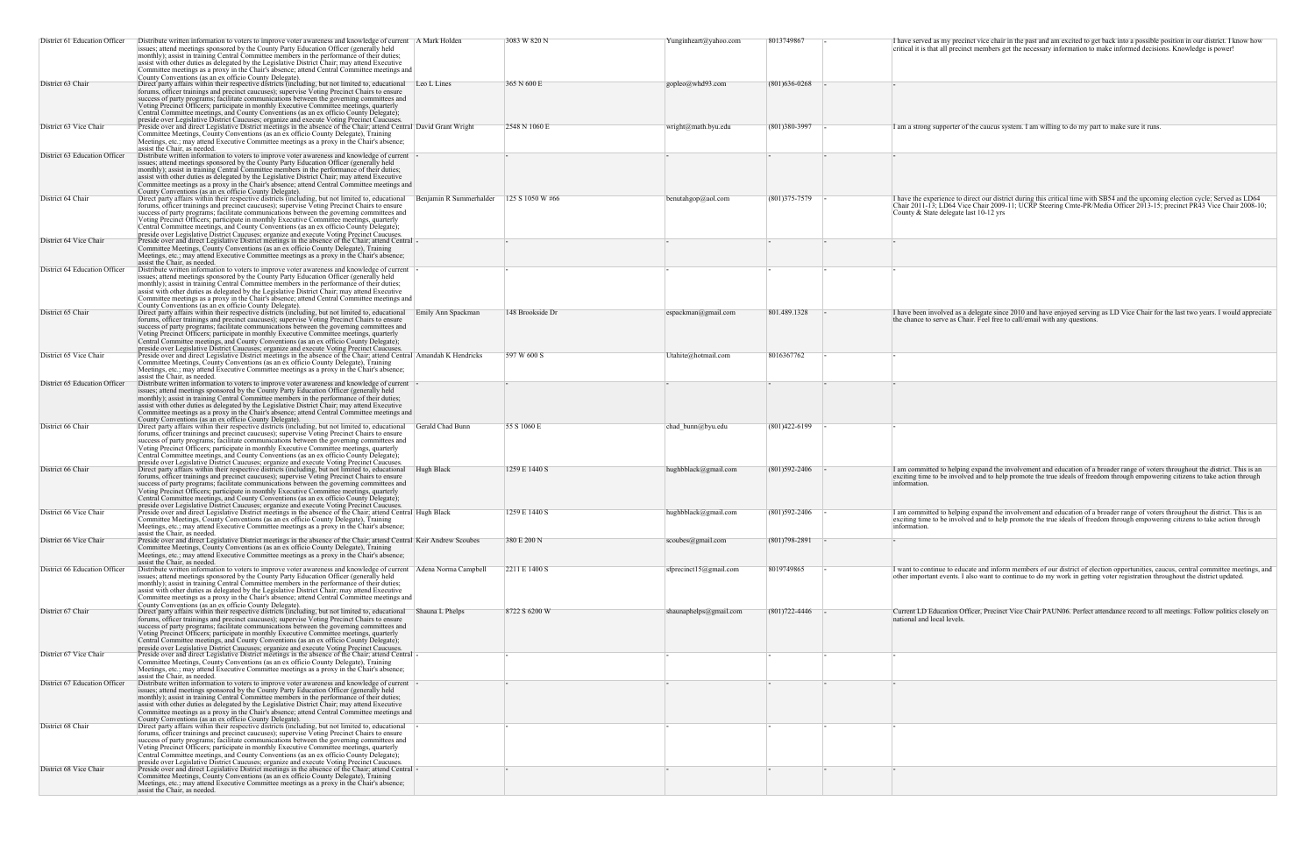| I have served as my precinct vice chair in the past and am excited to get back into a possible position in our district. I know how<br>critical it is that all precinct members get the necessary information to make informed decisions. Knowledge is power!                                        |
|------------------------------------------------------------------------------------------------------------------------------------------------------------------------------------------------------------------------------------------------------------------------------------------------------|
|                                                                                                                                                                                                                                                                                                      |
| I am a strong supporter of the caucus system. I am willing to do my part to make sure it runs.                                                                                                                                                                                                       |
| I have the experience to direct our district during this critical time with SB54 and the upcoming election cycle; Served as LD64<br>Chair 2011-13; LD64 Vice Chair 2009-11; UCRP Steering Cmte-PR/Media Officer 2013-15; precinct PR43 Vice Chair 2008-10;<br>County & State delegate last 10-12 yrs |
|                                                                                                                                                                                                                                                                                                      |
|                                                                                                                                                                                                                                                                                                      |
| I have been involved as a delegate since 2010 and have enjoyed serving as LD Vice Chair for the last two years. I would appreciate<br>the chance to serve as Chair. Feel free to call/email with any questions.                                                                                      |
|                                                                                                                                                                                                                                                                                                      |
|                                                                                                                                                                                                                                                                                                      |
| I am committed to helping expand the involvement and education of a broader range of voters throughout the district. This is an                                                                                                                                                                      |
| exciting time to be involved and to help promote the true ideals of freedom through empowering citizens to take action through<br>information.<br>I am committed to helping expand the involvement and education of a broader range of voters throughout the district. This is an                    |
| exciting time to be involved and to help promote the true ideals of freedom through empowering citizens to take action through<br>information.<br>-                                                                                                                                                  |
| I want to continue to educate and inform members of our district of election opportunities, caucus, central committee meetings, and<br>other important events. I also want to continue to do my work in getting voter registration throughout the district updated.                                  |
| Current LD Education Officer, Precinct Vice Chair PAUN06. Perfect attendance record to all meetings. Follow politics closely on<br>national and local levels.                                                                                                                                        |
| -<br>-                                                                                                                                                                                                                                                                                               |
|                                                                                                                                                                                                                                                                                                      |
|                                                                                                                                                                                                                                                                                                      |
|                                                                                                                                                                                                                                                                                                      |

| District 61 Education Officer | Distribute written information to voters to improve voter awareness and knowledge of current A Mark Holden<br>issues; attend meetings sponsored by the County Party Education Officer (generally held<br>monthly); assist in training Central Committee members in the performance of their duties;<br>assist with other duties as delegated by the Legislative District Chair; may attend Executive<br>Committee meetings as a proxy in the Chair's absence; attend Central Committee meetings and                                                                                                                                                                                          |                         | 3083 W 820 N     | Yunginheart@yahoo.com       | 8013749867        | I have served as my precinct vice chair in the past and am excited to get back into a possible position in our district. I know how<br>critical it is that all precinct members get the necessary information to make informed decisions. Knowledge is power!                                        |
|-------------------------------|----------------------------------------------------------------------------------------------------------------------------------------------------------------------------------------------------------------------------------------------------------------------------------------------------------------------------------------------------------------------------------------------------------------------------------------------------------------------------------------------------------------------------------------------------------------------------------------------------------------------------------------------------------------------------------------------|-------------------------|------------------|-----------------------------|-------------------|------------------------------------------------------------------------------------------------------------------------------------------------------------------------------------------------------------------------------------------------------------------------------------------------------|
| District 63 Chair             | County Conventions (as an ex officio County Delegate).<br>Direct party affairs within their respective districts (including, but not limited to, educational Leo L Lines<br>forums, officer trainings and precinct caucuses); supervise Voting Precinct Chairs to ensure<br>success of party programs; facilitate communications between the governing committees and<br>Voting Precinct Officers; participate in monthly Executive Committee meetings, quarterly<br>Central Committee meetings, and County Conventions (as an ex officio County Delegate);<br>preside over Legislative District Caucuses; organize and execute Voting Precinct Caucuses.                                    |                         | 365 N 600 E      | $gopleo(\vec{a})$ whd93.com | $(801)$ 636-0268  |                                                                                                                                                                                                                                                                                                      |
| District 63 Vice Chair        | Preside over and direct Legislative District meetings in the absence of the Chair; attend Central David Grant Wright<br>Committee Meetings, County Conventions (as an ex officio County Delegate), Training<br>Meetings, etc.; may attend Executive Committee meetings as a proxy in the Chair's absence;<br>assist the Chair, as needed.                                                                                                                                                                                                                                                                                                                                                    |                         | 2548 N 1060 E    | wright@math.byu.edu         | $(801)380-3997$   | I am a strong supporter of the caucus system. I am willing to do my part to make sure it runs.                                                                                                                                                                                                       |
| District 63 Education Officer | Distribute written information to voters to improve voter awareness and knowledge of current<br>issues; attend meetings sponsored by the County Party Education Officer (generally held<br>monthly); assist in training Central Committee members in the performance of their duties;<br>assist with other duties as delegated by the Legislative District Chair; may attend Executive<br>Committee meetings as a proxy in the Chair's absence; attend Central Committee meetings and<br>County Conventions (as an ex officio County Delegate).                                                                                                                                              |                         |                  |                             |                   |                                                                                                                                                                                                                                                                                                      |
| District 64 Chair             | Direct party affairs within their respective districts (including, but not limited to, educational<br>forums, officer trainings and precinct caucuses); supervise Voting Precinct Chairs to ensure<br>success of party programs; facilitate communications between the governing committees and<br>Voting Precinct Officers; participate in monthly Executive Committee meetings, quarterly<br>Central Committee meetings, and County Conventions (as an ex officio County Delegate);<br>preside over Legislative District Caucuses; organize and execute Voting Precinct Caucuses.                                                                                                          | Benjamin R Summerhalder | 125 S 1050 W #66 | benutahgop@aol.com          | $(801)375 - 7579$ | I have the experience to direct our district during this critical time with SB54 and the upcoming election cycle; Served as LD64<br>Chair 2011-13; LD64 Vice Chair 2009-11; UCRP Steering Cmte-PR/Media Officer 2013-15; precinct PR43 Vice Chair 2008-10;<br>County & State delegate last 10-12 yrs |
| District 64 Vice Chair        | Preside over and direct Legislative District meetings in the absence of the Chair; attend Central -<br>Committee Meetings, County Conventions (as an ex officio County Delegate), Training<br>Meetings, etc.; may attend Executive Committee meetings as a proxy in the Chair's absence;<br>assist the Chair, as needed.                                                                                                                                                                                                                                                                                                                                                                     |                         |                  |                             |                   |                                                                                                                                                                                                                                                                                                      |
| District 64 Education Officer | Distribute written information to voters to improve voter awareness and knowledge of current<br>issues; attend meetings sponsored by the County Party Education Officer (generally held<br>monthly); assist in training Central Committee members in the performance of their duties;<br>assist with other duties as delegated by the Legislative District Chair; may attend Executive<br>Committee meetings as a proxy in the Chair's absence; attend Central Committee meetings and                                                                                                                                                                                                        |                         |                  |                             |                   |                                                                                                                                                                                                                                                                                                      |
| District 65 Chair             | County Conventions (as an ex officio County Delegate).<br>Direct party affairs within their respective districts (including, but not limited to, educational<br>forums, officer trainings and precinct caucuses); supervise Voting Precinct Chairs to ensure<br>success of party programs; facilitate communications between the governing committees and<br>Voting Precinct Officers; participate in monthly Executive Committee meetings, quarterly<br>Central Committee meetings, and County Conventions (as an ex officio County Delegate);<br>preside over Legislative District Caucuses; organize and execute Voting Precinct Caucuses.                                                | Emily Ann Spackman      | 148 Brookside Dr | espackman@gmail.com         | 801.489.1328      | I have been involved as a delegate since 2010 and have enjoyed serving as LD Vice Chair for the last two years. I would appreciate<br>the chance to serve as Chair. Feel free to call/email with any questions.                                                                                      |
| District 65 Vice Chair        | Preside over and direct Legislative District meetings in the absence of the Chair; attend Central Amandah K Hendricks<br>Committee Meetings, County Conventions (as an ex officio County Delegate), Training<br>Meetings, etc.; may attend Executive Committee meetings as a proxy in the Chair's absence;<br>assist the Chair, as needed.                                                                                                                                                                                                                                                                                                                                                   |                         | 597 W 600 S      | Utahite@hotmail.com         | 8016367762        |                                                                                                                                                                                                                                                                                                      |
| District 65 Education Officer | Distribute written information to voters to improve voter awareness and knowledge of current<br>issues; attend meetings sponsored by the County Party Education Officer (generally held<br>monthly); assist in training Central Committee members in the performance of their duties;<br>assist with other duties as delegated by the Legislative District Chair; may attend Executive<br>Committee meetings as a proxy in the Chair's absence; attend Central Committee meetings and<br>County Conventions (as an ex officio County Delegate).                                                                                                                                              |                         |                  |                             |                   |                                                                                                                                                                                                                                                                                                      |
| District 66 Chair             | Direct party affairs within their respective districts (including, but not limited to, educational Gerald Chad Bunn<br>forums, officer trainings and precinct caucuses); supervise Voting Precinct Chairs to ensure<br>success of party programs; facilitate communications between the governing committees and<br>Voting Precinct Officers; participate in monthly Executive Committee meetings, quarterly<br>Central Committee meetings, and County Conventions (as an ex officio County Delegate);                                                                                                                                                                                       |                         | 55 S 1060 E      | chad bunn@byu.edu           | $(801)422 - 6199$ |                                                                                                                                                                                                                                                                                                      |
| District 66 Chair             | preside over Legislative District Caucuses; organize and execute Voting Precinct Caucuses.<br>Direct party affairs within their respective districts (including, but not limited to, educational Hugh Black<br>forums, officer trainings and precinct caucuses); supervise Voting Precinct Chairs to ensure<br>success of party programs; facilitate communications between the governing committees and<br>Voting Precinct Officers; participate in monthly Executive Committee meetings, quarterly<br>Central Committee meetings, and County Conventions (as an ex officio County Delegate);<br>preside over Legislative District Caucuses; organize and execute Voting Precinct Caucuses. |                         | 1259 E 1440 S    | hughbblack@gmail.com        | $(801)592 - 2406$ | I am committed to helping expand the involvement and education of a broader range of voters throughout the district. This is an<br>exciting time to be involved and to help promote the true ideals of freedom through empowering citizens to take action through<br>information.                    |
| District 66 Vice Chair        | Preside over and direct Legislative District meetings in the absence of the Chair; attend Central Hugh Black<br>Committee Meetings, County Conventions (as an ex officio County Delegate), Training<br>Meetings, etc.; may attend Executive Committee meetings as a proxy in the Chair's absence;<br>assist the Chair, as needed.                                                                                                                                                                                                                                                                                                                                                            |                         | 1259 E 1440 S    | hughbblack@gmail.com        | $(801)592 - 2406$ | I am committed to helping expand the involvement and education of a broader range of voters throughout the district. This is an<br>exciting time to be involved and to help promote the true ideals of freedom through empowering citizens to take action through<br>information.                    |
| District 66 Vice Chair        | Preside over and direct Legislative District meetings in the absence of the Chair; attend Central Keir Andrew Scoubes<br>Committee Meetings, County Conventions (as an ex officio County Delegate), Training<br>Meetings, etc.; may attend Executive Committee meetings as a proxy in the Chair's absence;<br>assist the Chair, as needed.                                                                                                                                                                                                                                                                                                                                                   |                         | 380 E 200 N      | scoubes@gmail.com           | $(801)798 - 2891$ |                                                                                                                                                                                                                                                                                                      |
| District 66 Education Officer | Distribute written information to voters to improve voter awareness and knowledge of current Adena Norma Campbell<br>issues; attend meetings sponsored by the County Party Education Officer (generally held<br>monthly); assist in training Central Committee members in the performance of their duties;<br>assist with other duties as delegated by the Legislative District Chair; may attend Executive<br>Committee meetings as a proxy in the Chair's absence; attend Central Committee meetings and<br>County Conventions (as an ex officio County Delegate).                                                                                                                         |                         | 2211 E 1400 S    | sfprecinct15@gmail.com      | 8019749865        | I want to continue to educate and inform members of our district of election opportunities, caucus, central committee meetings, and<br>other important events. I also want to continue to do my work in getting voter registration throughout the district updated.                                  |
| District 67 Chair             | Direct party affairs within their respective districts (including, but not limited to, educational<br>forums, officer trainings and precinct caucuses); supervise Voting Precinct Chairs to ensure<br>success of party programs; facilitate communications between the governing committees and<br>Voting Precinct Officers; participate in monthly Executive Committee meetings, quarterly<br>Central Committee meetings, and County Conventions (as an ex officio County Delegate);<br>preside over Legislative District Caucuses; organize and execute Voting Precinct Caucuses.                                                                                                          | Shauna L Phelps         | 8722 S 6200 W    | shaunaphelps@gmail.com      | $(801)722 - 4446$ | Current LD Education Officer, Precinct Vice Chair PAUN06. Perfect attendance record to all meetings. Follow politics closely on<br>national and local levels.                                                                                                                                        |
| District 67 Vice Chair        | Preside over and direct Legislative District meetings in the absence of the Chair; attend Central -<br>Committee Meetings, County Conventions (as an ex officio County Delegate), Training<br>Meetings, etc.; may attend Executive Committee meetings as a proxy in the Chair's absence;<br>assist the Chair, as needed.                                                                                                                                                                                                                                                                                                                                                                     |                         |                  |                             |                   |                                                                                                                                                                                                                                                                                                      |
| District 67 Education Officer | Distribute written information to voters to improve voter awareness and knowledge of current -<br>issues; attend meetings sponsored by the County Party Education Officer (generally held<br>monthly); assist in training Central Committee members in the performance of their duties;<br>assist with other duties as delegated by the Legislative District Chair; may attend Executive<br>Committee meetings as a proxy in the Chair's absence; attend Central Committee meetings and<br>County Conventions (as an ex officio County Delegate).                                                                                                                                            |                         |                  |                             |                   |                                                                                                                                                                                                                                                                                                      |
| District 68 Chair             | Direct party affairs within their respective districts (including, but not limited to, educational<br>forums, officer trainings and precinct caucuses); supervise Voting Precinct Chairs to ensure<br>success of party programs; facilitate communications between the governing committees and<br>Voting Precinct Officers; participate in monthly Executive Committee meetings, quarterly<br>Central Committee meetings, and County Conventions (as an ex officio County Delegate);<br>preside over Legislative District Caucuses; organize and execute Voting Precinct Caucuses.                                                                                                          |                         |                  |                             |                   |                                                                                                                                                                                                                                                                                                      |
| District 68 Vice Chair        | Preside over and direct Legislative District meetings in the absence of the Chair; attend Central -<br>Committee Meetings, County Conventions (as an ex officio County Delegate), Training<br>Meetings, etc.; may attend Executive Committee meetings as a proxy in the Chair's absence;<br>assist the Chair, as needed.                                                                                                                                                                                                                                                                                                                                                                     |                         |                  |                             |                   |                                                                                                                                                                                                                                                                                                      |